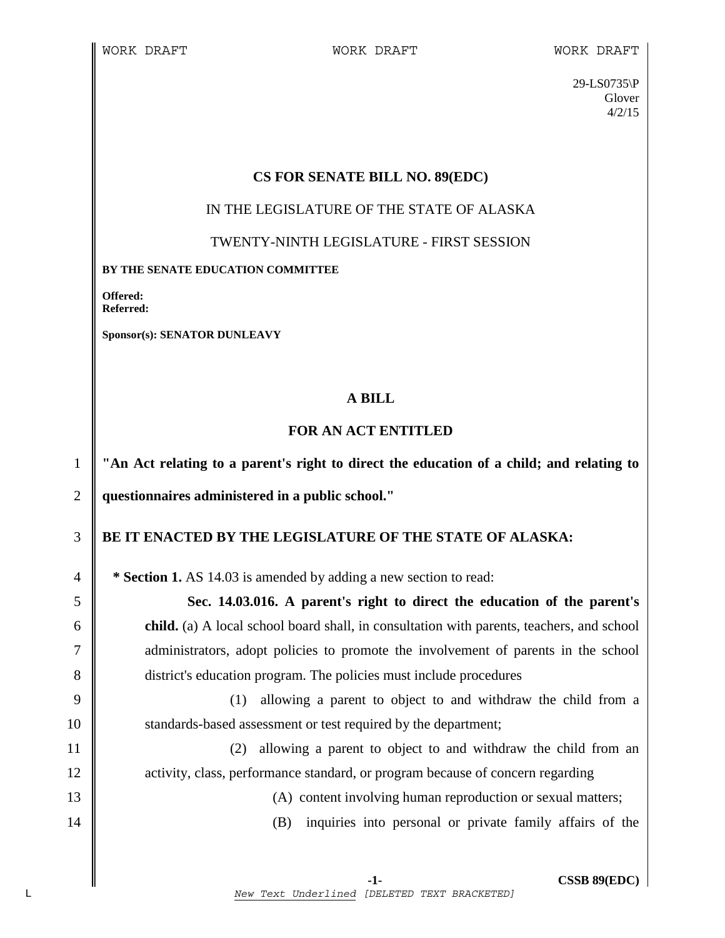29-LS0735\P Glover 4/2/15

### **CS FOR SENATE BILL NO. 89(EDC)**

#### IN THE LEGISLATURE OF THE STATE OF ALASKA

TWENTY-NINTH LEGISLATURE - FIRST SESSION

#### **BY THE SENATE EDUCATION COMMITTEE**

**Offered: Referred:** 

**Sponsor(s): SENATOR DUNLEAVY** 

# **A BILL**

# **FOR AN ACT ENTITLED**

1 **"An Act relating to a parent's right to direct the education of a child; and relating to**  2 **questionnaires administered in a public school."** 

# 3 **BE IT ENACTED BY THE LEGISLATURE OF THE STATE OF ALASKA:**

4 **\* Section 1.** AS 14.03 is amended by adding a new section to read:

5 **Sec. 14.03.016. A parent's right to direct the education of the parent's**  6 **child.** (a) A local school board shall, in consultation with parents, teachers, and school 7 administrators, adopt policies to promote the involvement of parents in the school 8 district's education program. The policies must include procedures

9 (1) allowing a parent to object to and withdraw the child from a 10 | standards-based assessment or test required by the department;

11 (2) allowing a parent to object to and withdraw the child from an 12 **activity, class, performance standard, or program because of concern regarding** 

13 (A) content involving human reproduction or sexual matters;

14 (B) inquiries into personal or private family affairs of the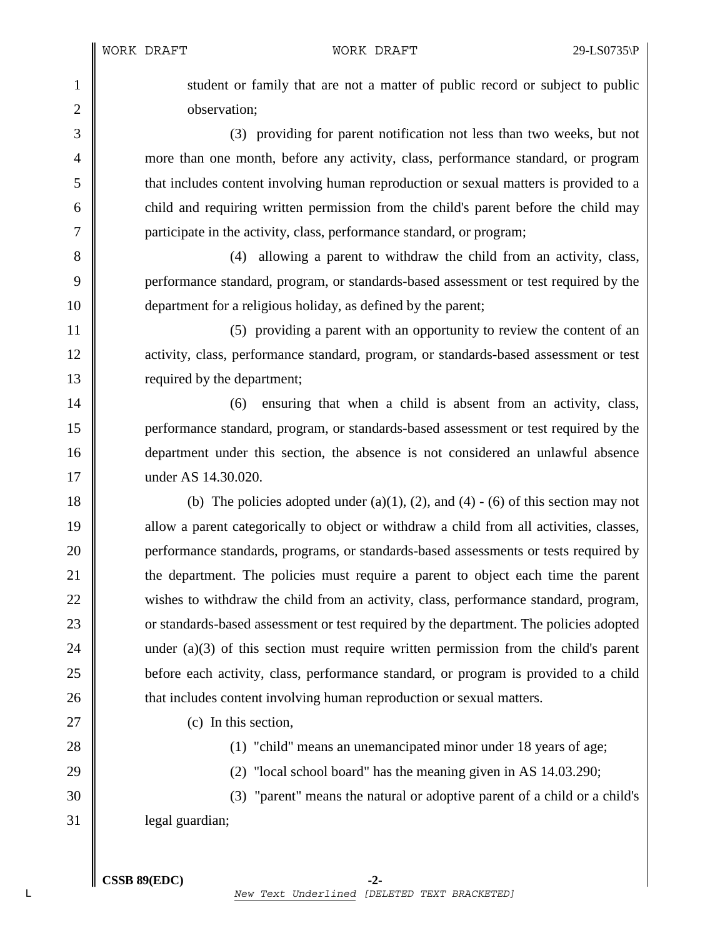1 student or family that are not a matter of public record or subject to public 2 **b** observation:

3 (3) providing for parent notification not less than two weeks, but not 4 more than one month, before any activity, class, performance standard, or program 5 that includes content involving human reproduction or sexual matters is provided to a  $6 \parallel$  child and requiring written permission from the child's parent before the child may 7 **||** participate in the activity, class, performance standard, or program;

8 (4) allowing a parent to withdraw the child from an activity, class, 9 performance standard, program, or standards-based assessment or test required by the 10 **department for a religious holiday**, as defined by the parent;

11 | (5) providing a parent with an opportunity to review the content of an 12 activity, class, performance standard, program, or standards-based assessment or test 13 **lack** required by the department;

14 | (6) ensuring that when a child is absent from an activity, class, 15 performance standard, program, or standards-based assessment or test required by the 16 department under this section, the absence is not considered an unlawful absence 17 under AS 14.30.020.

18 (b) The policies adopted under (a)(1), (2), and (4) - (6) of this section may not 19 allow a parent categorically to object or withdraw a child from all activities, classes, 20 **performance standards, programs, or standards-based assessments or tests required by** 21 the department. The policies must require a parent to object each time the parent 22 wishes to withdraw the child from an activity, class, performance standard, program, 23 cor standards-based assessment or test required by the department. The policies adopted 24 under (a)(3) of this section must require written permission from the child's parent 25 before each activity, class, performance standard, or program is provided to a child 26 **that includes content involving human reproduction or sexual matters.** 

27 (c) In this section,

28 **(1)** "child" means an unemancipated minor under 18 years of age;

29  $\parallel$  (2) "local school board" has the meaning given in AS 14.03.290;

30 (3) "parent" means the natural or adoptive parent of a child or a child's 31 | legal guardian;